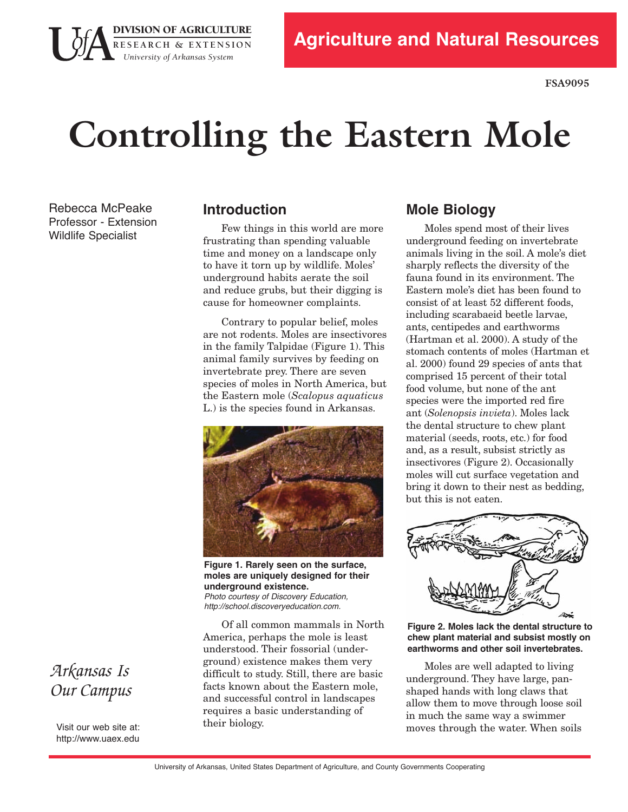

# **Controlling the Eastern Mole**

Rebecca McPeake Professor - Extension Wildlife Specialist

#### **Introduction**

**DIVISION OF AGRICULTURE** 

**R E S E A R C H & E X T E N S I O N**  *University of Arkansas System* 

> Few things in this world are more frustrating than spending valuable time and money on a landscape only to have it torn up by wildlife. Moles' underground habits aerate the soil and reduce grubs, but their digging is cause for homeowner complaints.

Contrary to popular belief, moles are not rodents. Moles are insectivores in the family Talpidae (Figure 1). This animal family survives by feeding on invertebrate prey. There are seven species of moles in North America, but the Eastern mole (*Scalopus aquaticus* L.) is the species found in Arkansas.



**Figure 1. Rarely seen on the surface, moles are uniquely designed for their underground existence.**  *Photo courtesy of Discovery Education,*

*http://school.discoveryeducation.com.*

 difficult to study. Still, there are basic Of all common mammals in North America, perhaps the mole is least understood. Their fossorial (underground) existence makes them very facts known about the Eastern mole, and successful control in landscapes requires a basic understanding of their biology.

#### **Mole Biology**

 Moles spend most of their lives underground feeding on invertebrate animals living in the soil. A mole's diet sharply reflects the diversity of the fauna found in its environment. The Eastern mole's diet has been found to consist of at least 52 different foods, including scarabaeid beetle larvae, ants, centipedes and earthworms (Hartman et al. 2000). A study of the stomach contents of moles (Hartman et al. 2000) found 29 species of ants that comprised 15 percent of their total food volume, but none of the ant species were the imported red fire  ant (*Solenopsis invieta*). Moles lack the dental structure to chew plant material (seeds, roots, etc.) for food and, as a result, subsist strictly as insectivores (Figure 2). Occasionally moles will cut surface vegetation and bring it down to their nest as bedding, but this is not eaten.



 **Figure 2. Moles lack the dental structure to chew plant material and subsist mostly on earthworms and other soil invertebrates.** 

 Moles are well adapted to living underground. They have large, pan- shaped hands with long claws that allow them to move through loose soil in much the same way a swimmer moves through the water. When soils

## *Arkansas Is Our Campus*

Visit our web site at: http://www.uaex.edu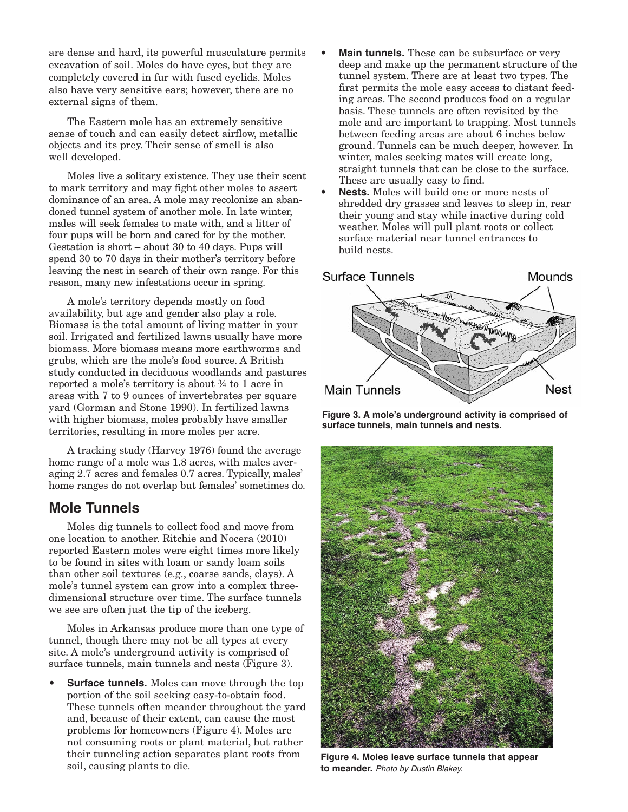also have very sensitive ears; however, there are no are dense and hard, its powerful musculature permits excavation of soil. Moles do have eyes, but they are completely covered in fur with fused eyelids. Moles external signs of them.

The Eastern mole has an extremely sensitive sense of touch and can easily detect airflow, metallic objects and its prey. Their sense of smell is also well developed.

 Moles live a solitary existence. They use their scent to mark territory and may fight other moles to assert dominance of an area. A mole may recolonize an aban- doned tunnel system of another mole. In late winter, males will seek females to mate with, and a litter of four pups will be born and cared for by the mother. Gestation is short – about 30 to 40 days. Pups will spend 30 to 70 days in their mother's territory before leaving the nest in search of their own range. For this reason, many new infestations occur in spring.

A mole's territory depends mostly on food availability, but age and gender also play a role. Biomass is the total amount of living matter in your soil. Irrigated and fertilized lawns usually have more biomass. More biomass means more earthworms and grubs, which are the mole's food source. A British study conducted in deciduous woodlands and pastures reported a mole's territory is about ¾ to 1 acre in areas with 7 to 9 ounces of invertebrates per square yard (Gorman and Stone 1990). In fertilized lawns with higher biomass, moles probably have smaller territories, resulting in more moles per acre.

 A tracking study (Harvey 1976) found the average home range of a mole was 1.8 acres, with males aver- aging 2.7 acres and females 0.7 acres. Typically, males' home ranges do not overlap but females' sometimes do.

#### **Mole Tunnels**

 than other soil textures (e.g., coarse sands, clays). A we see are often just the tip of the iceberg. Moles dig tunnels to collect food and move from one location to another. Ritchie and Nocera (2010) reported Eastern moles were eight times more likely to be found in sites with loam or sandy loam soils mole's tunnel system can grow into a complex threedimensional structure over time. The surface tunnels

Moles in Arkansas produce more than one type of tunnel, though there may not be all types at every site. A mole's underground activity is comprised of surface tunnels, main tunnels and nests (Figure 3).

**Surface tunnels.** Moles can move through the top portion of the soil seeking easy-to-obtain food. These tunnels often meander throughout the yard and, because of their extent, can cause the most problems for homeowners (Figure 4). Moles are not consuming roots or plant material, but rather their tunneling action separates plant roots from soil, causing plants to die.

- ground. Tunnels can be much deeper, however. In **Main tunnels.** These can be subsurface or very deep and make up the permanent structure of the tunnel system. There are at least two types. The first permits the mole easy access to distant feed ing areas. The second produces food on a regular basis. These tunnels are often revisited by the mole and are important to trapping. Most tunnels between feeding areas are about 6 inches below winter, males seeking mates will create long, straight tunnels that can be close to the surface. These are usually easy to find.
- **Nests.** Moles will build one or more nests of shredded dry grasses and leaves to sleep in, rear their young and stay while inactive during cold weather. Moles will pull plant roots or collect surface material near tunnel entrances to build nests.



**Figure 3. A mole's underground activity is comprised of surface tunnels, main tunnels and nests.** 



**Figure 4. Moles leave surface tunnels that appear to meander.** *Photo by Dustin Blakey.*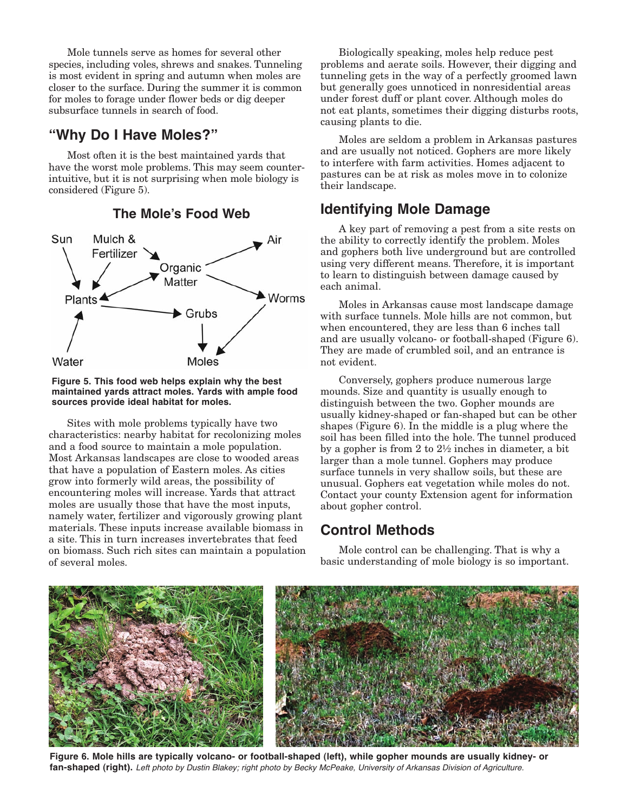Mole tunnels serve as homes for several other species, including voles, shrews and snakes. Tunneling is most evident in spring and autumn when moles are closer to the surface. During the summer it is common for moles to forage under flower beds or dig deeper subsurface tunnels in search of food.

#### **"Why Do I Have Moles?"**

 Most often it is the best maintained yards that have the worst mole problems. This may seem counter- intuitive, but it is not surprising when mole biology is considered (Figure 5).



#### **The Mole's Food Web**

#### **Figure 5. This food web helps explain why the best maintained yards attract moles. Yards with ample food sources provide ideal habitat for moles.**

Sites with mole problems typically have two characteristics: nearby habitat for recolonizing moles and a food source to maintain a mole population. Most Arkansas landscapes are close to wooded areas that have a population of Eastern moles. As cities grow into formerly wild areas, the possibility of encountering moles will increase. Yards that attract moles are usually those that have the most inputs, namely water, fertilizer and vigorously growing plant materials. These inputs increase available biomass in a site. This in turn increases invertebrates that feed on biomass. Such rich sites can maintain a population of several moles.

 problems and aerate soils. However, their digging and Biologically speaking, moles help reduce pest tunneling gets in the way of a perfectly groomed lawn but generally goes unnoticed in nonresidential areas under forest duff or plant cover. Although moles do not eat plants, sometimes their digging disturbs roots, causing plants to die.

Moles are seldom a problem in Arkansas pastures and are usually not noticed. Gophers are more likely to interfere with farm activities. Homes adjacent to pastures can be at risk as moles move in to colonize their landscape.

#### **Identifying Mole Damage**

 using very different means. Therefore, it is important A key part of removing a pest from a site rests on the ability to correctly identify the problem. Moles and gophers both live underground but are controlled to learn to distinguish between damage caused by each animal.

Moles in Arkansas cause most landscape damage with surface tunnels. Mole hills are not common, but when encountered, they are less than 6 inches tall and are usually volcano- or football-shaped (Figure 6). They are made of crumbled soil, and an entrance is not evident.

Conversely, gophers produce numerous large mounds. Size and quantity is usually enough to distinguish between the two. Gopher mounds are usually kidney-shaped or fan-shaped but can be other shapes (Figure 6). In the middle is a plug where the soil has been filled into the hole. The tunnel produced by a gopher is from 2 to 2½ inches in diameter, a bit larger than a mole tunnel. Gophers may produce surface tunnels in very shallow soils, but these are unusual. Gophers eat vegetation while moles do not. Contact your county Extension agent for information about gopher control.

#### **Control Methods**

Mole control can be challenging. That is why a basic understanding of mole biology is so important.



 **Figure 6. Mole hills are typically volcano- or football-shaped (left), while gopher mounds are usually kidney- or fan-shaped (right).** *Left photo by Dustin Blakey; right photo by Becky McPeake, University of Arkansas Division of Agriculture.*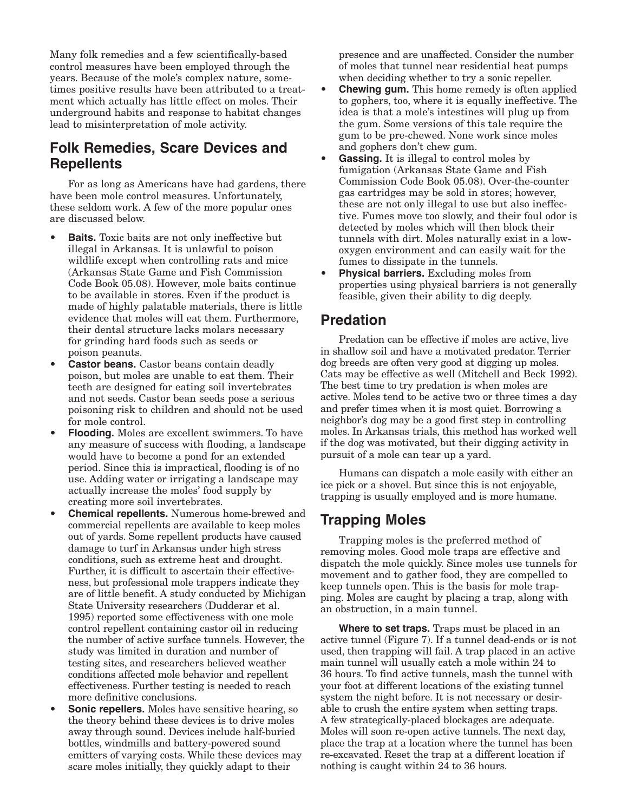Many folk remedies and a few scientifically-based control measures have been employed through the years. Because of the mole's complex nature, sometimes positive results have been attributed to a treatment which actually has little effect on moles. Their underground habits and response to habitat changes lead to misinterpretation of mole activity.

#### **Folk Remedies, Scare Devices and Repellents**

For as long as Americans have had gardens, there have been mole control measures. Unfortunately, these seldom work. A few of the more popular ones are discussed below.

- Code Book 05.08). However, mole baits continue **Baits.** Toxic baits are not only ineffective but illegal in Arkansas. It is unlawful to poison wildlife except when controlling rats and mice (Arkansas State Game and Fish Commission to be available in stores. Even if the product is made of highly palatable materials, there is little evidence that moles will eat them. Furthermore, their dental structure lacks molars necessary for grinding hard foods such as seeds or poison peanuts.
- **Castor beans.** Castor beans contain deadly poison, but moles are unable to eat them. Their teeth are designed for eating soil invertebrates and not seeds. Castor bean seeds pose a serious poisoning risk to children and should not be used for mole control.
- **Flooding.** Moles are excellent swimmers. To have any measure of success with flooding, a landscape would have to become a pond for an extended period. Since this is impractical, flooding is of no use. Adding water or irrigating a landscape may actually increase the moles' food supply by creating more soil invertebrates.
- commercial repellents are available to keep moles out of yards. Some repellent products have caused damage to turf in Arkansas under high stress conditions, such as extreme heat and drought. Further, it is difficult to ascertain their effective- ness, but professional mole trappers indicate they are of little benefit. A study conducted by Michigan State University researchers (Dudderar et al. 1995) reported some effectiveness with one mole control repellent containing castor oil in reducing the number of active surface tunnels. However, the study was limited in duration and number of testing sites, and researchers believed weather conditions affected mole behavior and repellent effectiveness. Further testing is needed to reach more definitive conclusions. **Chemical repellents.** Numerous home-brewed and
- • **Sonic repellers.** Moles have sensitive hearing, so the theory behind these devices is to drive moles away through sound. Devices include half-buried bottles, windmills and battery-powered sound emitters of varying costs. While these devices may scare moles initially, they quickly adapt to their

 presence and are unaffected. Consider the number of moles that tunnel near residential heat pumps when deciding whether to try a sonic repeller.

- to gophers, too, where it is equally ineffective. The **Chewing gum.** This home remedy is often applied idea is that a mole's intestines will plug up from the gum. Some versions of this tale require the gum to be prechewed. None work since moles and gophers don't chew gum.
- **Gassing.** It is illegal to control moles by fumigation (Arkansas State Game and Fish Commission Code Book 05.08). Over-the-counter gas cartridges may be sold in stores; however, these are not only illegal to use but also ineffective. Fumes move too slowly, and their foul odor is detected by moles which will then block their tunnels with dirt. Moles naturally exist in a lowoxygen environment and can easily wait for the fumes to dissipate in the tunnels.
- **Physical barriers.** Excluding moles from properties using physical barriers is not generally feasible, given their ability to dig deeply.

#### **Predation**

 Predation can be effective if moles are active, live in shallow soil and have a motivated predator. Terrier dog breeds are often very good at digging up moles. Cats may be effective as well (Mitchell and Beck 1992). The best time to try predation is when moles are active. Moles tend to be active two or three times a day and prefer times when it is most quiet. Borrowing a neighbor's dog may be a good first step in controlling moles. In Arkansas trials, this method has worked well if the dog was motivated, but their digging activity in pursuit of a mole can tear up a yard.

 Humans can dispatch a mole easily with either an ice pick or a shovel. But since this is not enjoyable, trapping is usually employed and is more humane.

### **Trapping Moles**

Trapping moles is the preferred method of removing moles. Good mole traps are effective and dispatch the mole quickly. Since moles use tunnels for movement and to gather food, they are compelled to keep tunnels open. This is the basis for mole trapping. Moles are caught by placing a trap, along with an obstruction, in a main tunnel.

 **Where to set traps.** Traps must be placed in an active tunnel (Figure 7). If a tunnel dead-ends or is not used, then trapping will fail. A trap placed in an active main tunnel will usually catch a mole within 24 to 36 hours. To find active tunnels, mash the tunnel with your foot at different locations of the existing tunnel system the night before. It is not necessary or desir- able to crush the entire system when setting traps. A few strategically-placed blockages are adequate. Moles will soon re-open active tunnels. The next day, place the trap at a location where the tunnel has been re-excavated. Reset the trap at a different location if nothing is caught within 24 to 36 hours.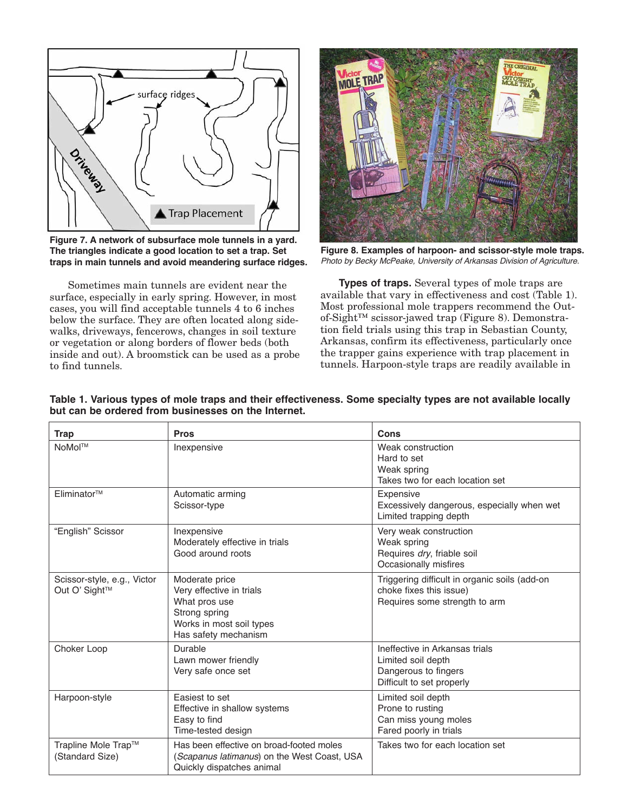

 **Figure 7. A network of subsurface mole tunnels in a yard. The triangles indicate a good location to set a trap. Set traps in main tunnels and avoid meandering surface ridges.** 

 surface, especially in early spring. However, in most walks, driveways, fencerows, changes in soil texture Sometimes main tunnels are evident near the cases, you will find acceptable tunnels 4 to 6 inches below the surface. They are often located along sideor vegetation or along borders of flower beds (both inside and out). A broomstick can be used as a probe to find tunnels.



 **Figure 8. Examples of harpoon- and scissor-style mole traps.**  *Photo by Becky McPeake, University of Arkansas Division of Agriculture.*

**Types of traps.** Several types of mole traps are available that vary in effectiveness and cost (Table 1). Most professional mole trappers recommend the Outof-Sight™ scissor-jawed trap (Figure 8). Demonstration field trials using this trap in Sebastian County, Arkansas, confirm its effectiveness, particularly once the trapper gains experience with trap placement in tunnels. Harpoon-style traps are readily available in

| <b>Trap</b>                                  | <b>Pros</b>                                                                                                                      | Cons                                                                                                      |
|----------------------------------------------|----------------------------------------------------------------------------------------------------------------------------------|-----------------------------------------------------------------------------------------------------------|
| NoMol™                                       | Inexpensive                                                                                                                      | Weak construction<br>Hard to set<br>Weak spring<br>Takes two for each location set                        |
| Eliminator™                                  | Automatic arming<br>Scissor-type                                                                                                 | Expensive<br>Excessively dangerous, especially when wet<br>Limited trapping depth                         |
| "English" Scissor                            | Inexpensive<br>Moderately effective in trials<br>Good around roots                                                               | Very weak construction<br>Weak spring<br>Requires dry, friable soil<br>Occasionally misfires              |
| Scissor-style, e.g., Victor<br>Out O' Sight™ | Moderate price<br>Very effective in trials<br>What pros use<br>Strong spring<br>Works in most soil types<br>Has safety mechanism | Triggering difficult in organic soils (add-on<br>choke fixes this issue)<br>Requires some strength to arm |
| Choker Loop                                  | Durable<br>Lawn mower friendly<br>Very safe once set                                                                             | Ineffective in Arkansas trials<br>Limited soil depth<br>Dangerous to fingers<br>Difficult to set properly |
| Harpoon-style                                | Easiest to set<br>Effective in shallow systems<br>Easy to find<br>Time-tested design                                             | Limited soil depth<br>Prone to rusting<br>Can miss young moles<br>Fared poorly in trials                  |
| Trapline Mole Trap™<br>(Standard Size)       | Has been effective on broad-footed moles<br>(Scapanus latimanus) on the West Coast, USA<br>Quickly dispatches animal             | Takes two for each location set                                                                           |

**Table 1. Various types of mole traps and their effectiveness. Some specialty types are not available locally but can be ordered from businesses on the Internet.**